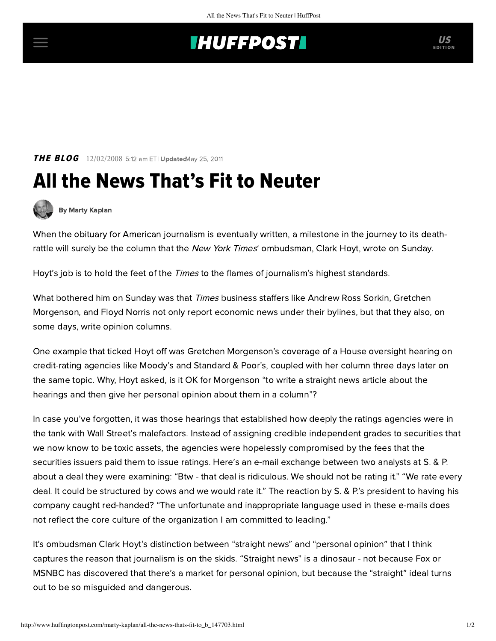## **INUFFPOSTI** US

### **THE BLOG**  $12/02/2008$  5:12 am ETI UpdatedMay 25, 2011

# All the News That's Fit to Neuter



[By Marty Kaplan](http://www.huffingtonpost.com/author/marty-kaplan)

When the obituary for American journalism is eventually written, a milestone in the journey to its deathrattle will surely be the [column](http://www.nytimes.com/2008/11/30/opinion/30pubed.html?ref=opinion) that the New York Times' ombudsman, Clark Hoyt, wrote on Sunday.

Hoyt's job is to hold the feet of the *Times* to the flames of journalism's highest standards.

What bothered him on Sunday was that Times business staffers like Andrew Ross Sorkin, Gretchen Morgenson, and Floyd Norris not only report economic news under their bylines, but that they also, on some days, write opinion columns.

One example that ticked Hoyt off was Gretchen Morgenson's [coverage](http://www.nytimes.com/2008/10/23/business/economy/23rating.html?_r=1) of a House oversight hearing on credit-rating agencies like Moody's and Standard & Poor's, coupled with her [column](http://www.nytimes.com/2008/10/26/business/26gret.html) three days later on the same topic. Why, Hoyt asked, is it OK for Morgenson "to write a straight news article about the hearings and then give her personal opinion about them in a column"?

In case you've forgotten, it was those hearings that established how deeply the ratings agencies were in the tank with Wall Street's malefactors. Instead of assigning credible independent grades to securities that we now know to be toxic assets, the agencies were hopelessly compromised by the fees that the securities issuers paid them to issue ratings. Here's an e-mail exchange between two analysts at S. & P. about a deal they were examining: "Btw - that deal is ridiculous. We should not be rating it." "We rate every deal. It could be structured by cows and we would rate it." The reaction by S. & P.'s president to having his company caught red-handed? "The unfortunate and inappropriate language used in these e-mails does not reflect the core culture of the organization I am committed to leading."

It's ombudsman Clark Hoyt's distinction between "straight news" and "personal opinion" that I think captures the reason that journalism is on the skids. "Straight news" is a dinosaur - not because Fox or MSNBC has discovered that there's a market for personal opinion, but because the "straight" ideal turns out to be so misguided and dangerous.